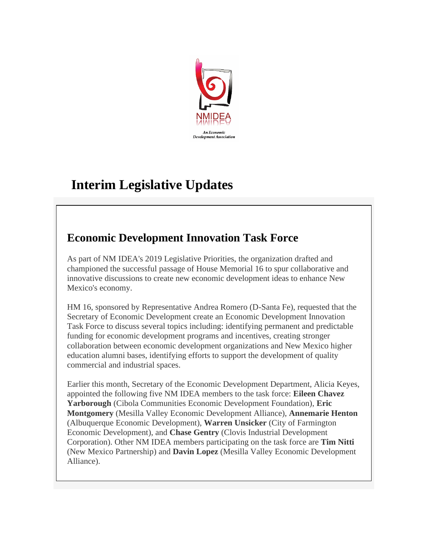

# **Interim Legislative Updates**

## **Economic Development Innovation Task Force**

As part of NM IDEA's 2019 Legislative Priorities, the organization drafted and championed the successful passage of House Memorial 16 to spur collaborative and innovative discussions to create new economic development ideas to enhance New Mexico's economy.

HM 16, sponsored by Representative Andrea Romero (D-Santa Fe), requested that the Secretary of Economic Development create an Economic Development Innovation Task Force to discuss several topics including: identifying permanent and predictable funding for economic development programs and incentives, creating stronger collaboration between economic development organizations and New Mexico higher education alumni bases, identifying efforts to support the development of quality commercial and industrial spaces.

Earlier this month, Secretary of the Economic Development Department, Alicia Keyes, appointed the following five NM IDEA members to the task force: **Eileen Chavez Yarborough** (Cibola Communities Economic Development Foundation), **Eric Montgomery** (Mesilla Valley Economic Development Alliance), **Annemarie Henton** (Albuquerque Economic Development), **Warren Unsicker** (City of Farmington Economic Development), and **Chase Gentry** (Clovis Industrial Development Corporation). Other NM IDEA members participating on the task force are **Tim Nitti**  (New Mexico Partnership) and **Davin Lopez** (Mesilla Valley Economic Development Alliance).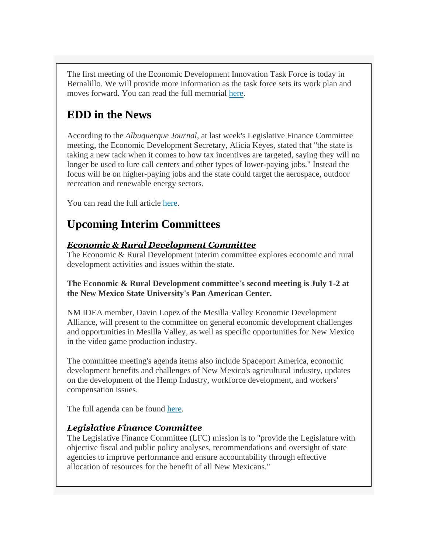The first meeting of the Economic Development Innovation Task Force is today in Bernalillo. We will provide more information as the task force sets its work plan and moves forward. You can read the full memorial [here.](http://r20.rs6.net/tn.jsp?f=001UUEgyHtOiUk51XoB_eW0vNtufY8dKCFo9-RTR_KG8j28gVPvZrFfgepJolx8IPT3i7We0v_UJQd7UxJs0hxbKm7em3KQ2zxS__mKtL918A2ydxoNmk0Akw5uLqjmM8GK6icVuj2M9tI0FYQ7iU5dT_3qnLe5txAU47QIpKdGhvIZ7dGLIsAlJ1mk6uYwdP3_FaKcBAkrYAs=&c=bUDyIpAw4ZgWLaWFO_cFuUEkmZL1dqH6fjTPPHhqwHUAcHYKVfS_lQ==&ch=DxdEYlV8wnWEWA0A6rMNpY0Fv1O_1dinD0Xw9JmxD_-S87_DjNI5WA==)

# **EDD in the News**

According to the *Albuquerque Journal*, at last week's Legislative Finance Committee meeting, the Economic Development Secretary, Alicia Keyes, stated that "the state is taking a new tack when it comes to how tax incentives are targeted, saying they will no longer be used to lure call centers and other types of lower-paying jobs." Instead the focus will be on higher-paying jobs and the state could target the aerospace, outdoor recreation and renewable energy sectors.

You can read the full article [here.](http://r20.rs6.net/tn.jsp?f=001UUEgyHtOiUk51XoB_eW0vNtufY8dKCFo9-RTR_KG8j28gVPvZrFfgepJolx8IPT3XOfAw8dDccU-jEn90WvvV4Fy1Z3LywgZPpr9BtjpVnfxBoPNe8fiTAhbf83IBBKzbKodyiced9f1xM94-UF3cFaURxqdqx8s-fWSIIjKiHZfh2kDtVpKYUUlTVMVzFV8N-wBRfLj6skQEs5PCUiw2Mfrul97x2awhmUVSXM-NTA=&c=bUDyIpAw4ZgWLaWFO_cFuUEkmZL1dqH6fjTPPHhqwHUAcHYKVfS_lQ==&ch=DxdEYlV8wnWEWA0A6rMNpY0Fv1O_1dinD0Xw9JmxD_-S87_DjNI5WA==)

### **Upcoming Interim Committees**

#### *Economic & Rural Development Committee*

The Economic & Rural Development interim committee explores economic and rural development activities and issues within the state.

#### **The Economic & Rural Development committee's second meeting is July 1-2 at the New Mexico State University's Pan American Center.**

NM IDEA member, Davin Lopez of the Mesilla Valley Economic Development Alliance, will present to the committee on general economic development challenges and opportunities in Mesilla Valley, as well as specific opportunities for New Mexico in the video game production industry.

The committee meeting's agenda items also include Spaceport America, economic development benefits and challenges of New Mexico's agricultural industry, updates on the development of the Hemp Industry, workforce development, and workers' compensation issues.

The full agenda can be found [here.](http://r20.rs6.net/tn.jsp?f=001UUEgyHtOiUk51XoB_eW0vNtufY8dKCFo9-RTR_KG8j28gVPvZrFfgepJolx8IPT3hot2IA1DwjWWiySKPMxT2I6GJVwcRwaZyUEacSyvqIOjg7EHm_ghBxZTTr5YTMESya8hrg0ENrMmcljcSsO89LEQMgytfKpSGcd-VUyORkR-7LLR_Aw35g==&c=bUDyIpAw4ZgWLaWFO_cFuUEkmZL1dqH6fjTPPHhqwHUAcHYKVfS_lQ==&ch=DxdEYlV8wnWEWA0A6rMNpY0Fv1O_1dinD0Xw9JmxD_-S87_DjNI5WA==)

#### *Legislative Finance Committee*

The Legislative Finance Committee (LFC) mission is to "provide the Legislature with objective fiscal and public policy analyses, recommendations and oversight of state agencies to improve performance and ensure accountability through effective allocation of resources for the benefit of all New Mexicans."